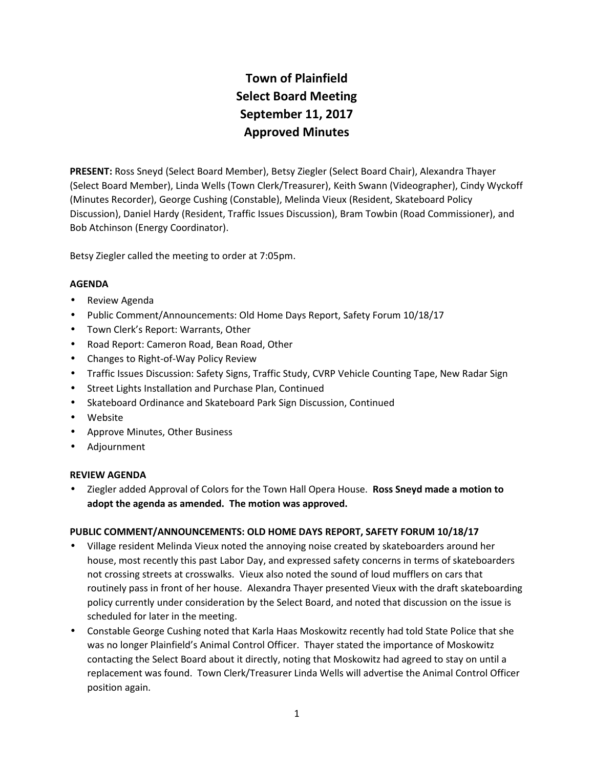# **Town of Plainfield Select Board Meeting September 11, 2017 Approved Minutes**

**PRESENT:** Ross Sneyd (Select Board Member), Betsy Ziegler (Select Board Chair), Alexandra Thayer (Select Board Member), Linda Wells (Town Clerk/Treasurer), Keith Swann (Videographer), Cindy Wyckoff (Minutes Recorder), George Cushing (Constable), Melinda Vieux (Resident, Skateboard Policy Discussion), Daniel Hardy (Resident, Traffic Issues Discussion), Bram Towbin (Road Commissioner), and Bob Atchinson (Energy Coordinator).

Betsy Ziegler called the meeting to order at 7:05pm.

## **AGENDA**

- Review Agenda
- Public Comment/Announcements: Old Home Days Report, Safety Forum 10/18/17
- Town Clerk's Report: Warrants, Other
- Road Report: Cameron Road, Bean Road, Other
- Changes to Right-of-Way Policy Review
- Traffic Issues Discussion: Safety Signs, Traffic Study, CVRP Vehicle Counting Tape, New Radar Sign
- **•** Street Lights Installation and Purchase Plan, Continued
- Skateboard Ordinance and Skateboard Park Sign Discussion, Continued
- Website
- Approve Minutes, Other Business
- Adjournment

## **REVIEW AGENDA**

 Ziegler added Approval of Colors for the Town Hall Opera House. **Ross Sneyd made a motion to adopt the agenda as amended. The motion was approved.**

## **PUBLIC COMMENT/ANNOUNCEMENTS: OLD HOME DAYS REPORT, SAFETY FORUM 10/18/17**

- Village resident Melinda Vieux noted the annoying noise created by skateboarders around her house, most recently this past Labor Day, and expressed safety concerns in terms of skateboarders not crossing streets at crosswalks. Vieux also noted the sound of loud mufflers on cars that routinely pass in front of her house. Alexandra Thayer presented Vieux with the draft skateboarding policy currently under consideration by the Select Board, and noted that discussion on the issue is scheduled for later in the meeting.
- Constable George Cushing noted that Karla Haas Moskowitz recently had told State Police that she was no longer Plainfield's Animal Control Officer. Thayer stated the importance of Moskowitz contacting the Select Board about it directly, noting that Moskowitz had agreed to stay on until a replacement was found. Town Clerk/Treasurer Linda Wells will advertise the Animal Control Officer position again.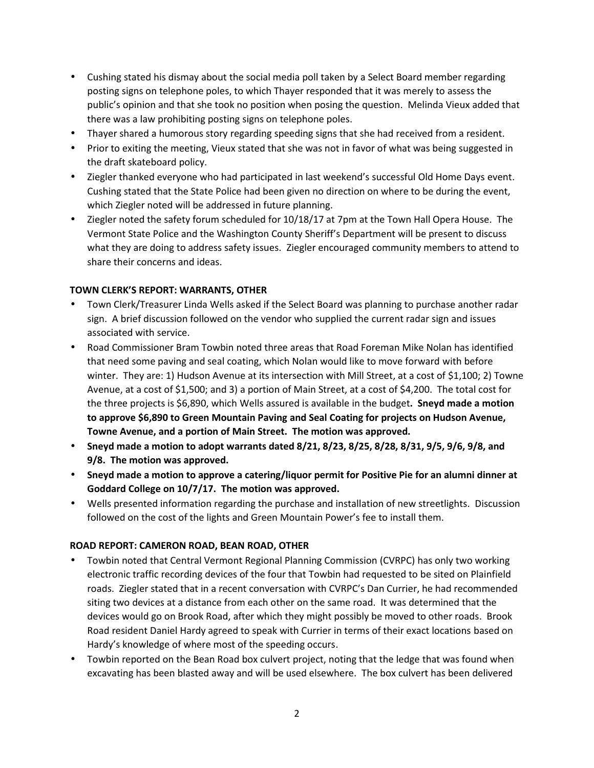- Cushing stated his dismay about the social media poll taken by a Select Board member regarding posting signs on telephone poles, to which Thayer responded that it was merely to assess the public's opinion and that she took no position when posing the question. Melinda Vieux added that there was a law prohibiting posting signs on telephone poles.
- Thayer shared a humorous story regarding speeding signs that she had received from a resident.
- Prior to exiting the meeting, Vieux stated that she was not in favor of what was being suggested in the draft skateboard policy.
- Ziegler thanked everyone who had participated in last weekend's successful Old Home Days event. Cushing stated that the State Police had been given no direction on where to be during the event, which Ziegler noted will be addressed in future planning.
- Ziegler noted the safety forum scheduled for 10/18/17 at 7pm at the Town Hall Opera House. The Vermont State Police and the Washington County Sheriff's Department will be present to discuss what they are doing to address safety issues. Ziegler encouraged community members to attend to share their concerns and ideas.

## **TOWN CLERK'S REPORT: WARRANTS, OTHER**

- Town Clerk/Treasurer Linda Wells asked if the Select Board was planning to purchase another radar sign. A brief discussion followed on the vendor who supplied the current radar sign and issues associated with service.
- Road Commissioner Bram Towbin noted three areas that Road Foreman Mike Nolan has identified that need some paving and seal coating, which Nolan would like to move forward with before winter. They are: 1) Hudson Avenue at its intersection with Mill Street, at a cost of \$1,100; 2) Towne Avenue, at a cost of \$1,500; and 3) a portion of Main Street, at a cost of \$4,200. The total cost for the three projects is \$6,890, which Wells assured is available in the budget**. Sneyd made a motion to approve \$6,890 to Green Mountain Paving and Seal Coating for projects on Hudson Avenue, Towne Avenue, and a portion of Main Street. The motion was approved.**
- **Sneyd made a motion to adopt warrants dated 8/21, 8/23, 8/25, 8/28, 8/31, 9/5, 9/6, 9/8, and 9/8. The motion was approved.**
- **Sneyd made a motion to approve a catering/liquor permit for Positive Pie for an alumni dinner at Goddard College on 10/7/17. The motion was approved.**
- Wells presented information regarding the purchase and installation of new streetlights. Discussion followed on the cost of the lights and Green Mountain Power's fee to install them.

## **ROAD REPORT: CAMERON ROAD, BEAN ROAD, OTHER**

- Towbin noted that Central Vermont Regional Planning Commission (CVRPC) has only two working electronic traffic recording devices of the four that Towbin had requested to be sited on Plainfield roads. Ziegler stated that in a recent conversation with CVRPC's Dan Currier, he had recommended siting two devices at a distance from each other on the same road. It was determined that the devices would go on Brook Road, after which they might possibly be moved to other roads. Brook Road resident Daniel Hardy agreed to speak with Currier in terms of their exact locations based on Hardy's knowledge of where most of the speeding occurs.
- Towbin reported on the Bean Road box culvert project, noting that the ledge that was found when excavating has been blasted away and will be used elsewhere. The box culvert has been delivered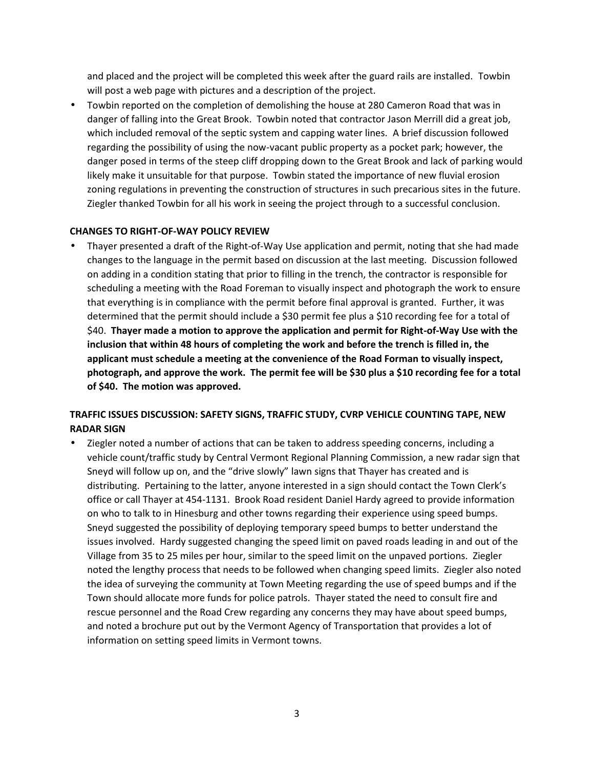and placed and the project will be completed this week after the guard rails are installed. Towbin will post a web page with pictures and a description of the project.

 Towbin reported on the completion of demolishing the house at 280 Cameron Road that was in danger of falling into the Great Brook. Towbin noted that contractor Jason Merrill did a great job, which included removal of the septic system and capping water lines. A brief discussion followed regarding the possibility of using the now-vacant public property as a pocket park; however, the danger posed in terms of the steep cliff dropping down to the Great Brook and lack of parking would likely make it unsuitable for that purpose. Towbin stated the importance of new fluvial erosion zoning regulations in preventing the construction of structures in such precarious sites in the future. Ziegler thanked Towbin for all his work in seeing the project through to a successful conclusion.

## **CHANGES TO RIGHT-OF-WAY POLICY REVIEW**

 Thayer presented a draft of the Right-of-Way Use application and permit, noting that she had made changes to the language in the permit based on discussion at the last meeting. Discussion followed on adding in a condition stating that prior to filling in the trench, the contractor is responsible for scheduling a meeting with the Road Foreman to visually inspect and photograph the work to ensure that everything is in compliance with the permit before final approval is granted. Further, it was determined that the permit should include a \$30 permit fee plus a \$10 recording fee for a total of \$40. **Thayer made a motion to approve the application and permit for Right-of-Way Use with the inclusion that within 48 hours of completing the work and before the trench is filled in, the applicant must schedule a meeting at the convenience of the Road Forman to visually inspect, photograph, and approve the work. The permit fee will be \$30 plus a \$10 recording fee for a total of \$40. The motion was approved.**

# **TRAFFIC ISSUES DISCUSSION: SAFETY SIGNS, TRAFFIC STUDY, CVRP VEHICLE COUNTING TAPE, NEW RADAR SIGN**

 Ziegler noted a number of actions that can be taken to address speeding concerns, including a vehicle count/traffic study by Central Vermont Regional Planning Commission, a new radar sign that Sneyd will follow up on, and the "drive slowly" lawn signs that Thayer has created and is distributing. Pertaining to the latter, anyone interested in a sign should contact the Town Clerk's office or call Thayer at 454-1131. Brook Road resident Daniel Hardy agreed to provide information on who to talk to in Hinesburg and other towns regarding their experience using speed bumps. Sneyd suggested the possibility of deploying temporary speed bumps to better understand the issues involved. Hardy suggested changing the speed limit on paved roads leading in and out of the Village from 35 to 25 miles per hour, similar to the speed limit on the unpaved portions. Ziegler noted the lengthy process that needs to be followed when changing speed limits. Ziegler also noted the idea of surveying the community at Town Meeting regarding the use of speed bumps and if the Town should allocate more funds for police patrols. Thayer stated the need to consult fire and rescue personnel and the Road Crew regarding any concerns they may have about speed bumps, and noted a brochure put out by the Vermont Agency of Transportation that provides a lot of information on setting speed limits in Vermont towns.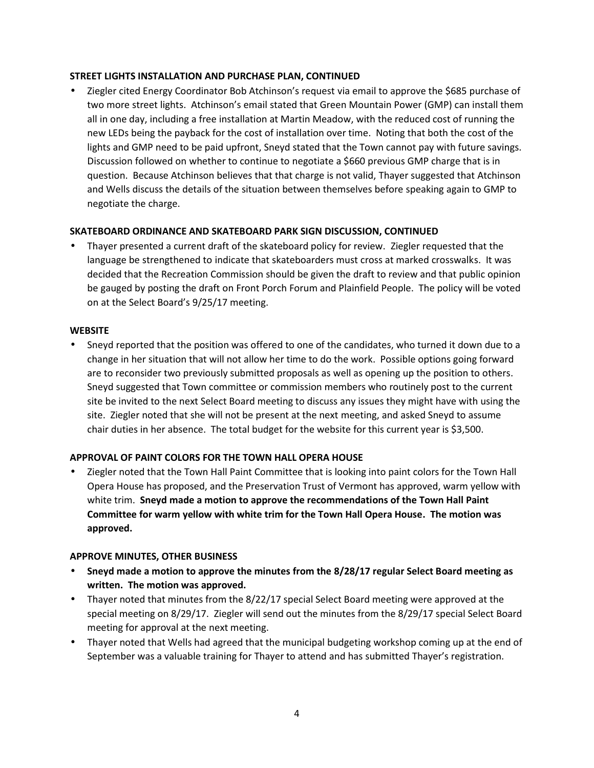## **STREET LIGHTS INSTALLATION AND PURCHASE PLAN, CONTINUED**

 Ziegler cited Energy Coordinator Bob Atchinson's request via email to approve the \$685 purchase of two more street lights. Atchinson's email stated that Green Mountain Power (GMP) can install them all in one day, including a free installation at Martin Meadow, with the reduced cost of running the new LEDs being the payback for the cost of installation over time. Noting that both the cost of the lights and GMP need to be paid upfront, Sneyd stated that the Town cannot pay with future savings. Discussion followed on whether to continue to negotiate a \$660 previous GMP charge that is in question. Because Atchinson believes that that charge is not valid, Thayer suggested that Atchinson and Wells discuss the details of the situation between themselves before speaking again to GMP to negotiate the charge.

## **SKATEBOARD ORDINANCE AND SKATEBOARD PARK SIGN DISCUSSION, CONTINUED**

 Thayer presented a current draft of the skateboard policy for review. Ziegler requested that the language be strengthened to indicate that skateboarders must cross at marked crosswalks. It was decided that the Recreation Commission should be given the draft to review and that public opinion be gauged by posting the draft on Front Porch Forum and Plainfield People. The policy will be voted on at the Select Board's 9/25/17 meeting.

## **WEBSITE**

 Sneyd reported that the position was offered to one of the candidates, who turned it down due to a change in her situation that will not allow her time to do the work. Possible options going forward are to reconsider two previously submitted proposals as well as opening up the position to others. Sneyd suggested that Town committee or commission members who routinely post to the current site be invited to the next Select Board meeting to discuss any issues they might have with using the site. Ziegler noted that she will not be present at the next meeting, and asked Sneyd to assume chair duties in her absence. The total budget for the website for this current year is \$3,500.

## **APPROVAL OF PAINT COLORS FOR THE TOWN HALL OPERA HOUSE**

 Ziegler noted that the Town Hall Paint Committee that is looking into paint colors for the Town Hall Opera House has proposed, and the Preservation Trust of Vermont has approved, warm yellow with white trim. **Sneyd made a motion to approve the recommendations of the Town Hall Paint Committee for warm yellow with white trim for the Town Hall Opera House. The motion was approved.**

## **APPROVE MINUTES, OTHER BUSINESS**

- **Sneyd made a motion to approve the minutes from the 8/28/17 regular Select Board meeting as written. The motion was approved.**
- Thayer noted that minutes from the 8/22/17 special Select Board meeting were approved at the special meeting on 8/29/17. Ziegler will send out the minutes from the 8/29/17 special Select Board meeting for approval at the next meeting.
- Thayer noted that Wells had agreed that the municipal budgeting workshop coming up at the end of September was a valuable training for Thayer to attend and has submitted Thayer's registration.